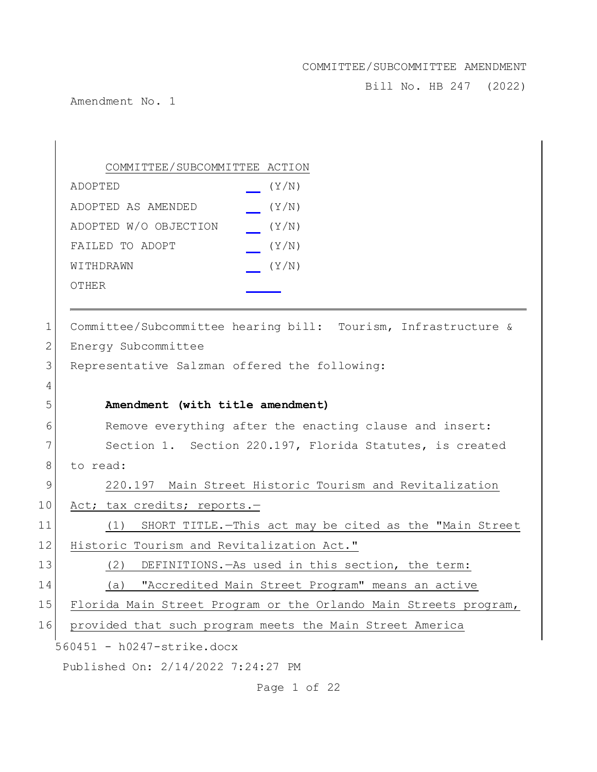Bill No. HB 247 (2022)

Amendment No. 1

 $\overline{\phantom{a}}$ 

|                | COMMITTEE/SUBCOMMITTEE ACTION                                    |  |
|----------------|------------------------------------------------------------------|--|
|                | (Y/N)<br>ADOPTED                                                 |  |
|                | (Y/N)<br>ADOPTED AS AMENDED                                      |  |
|                | ADOPTED W/O OBJECTION<br>(Y/N)                                   |  |
|                | (Y/N)<br>FAILED TO ADOPT                                         |  |
|                | (Y/N)<br>WITHDRAWN                                               |  |
|                | OTHER                                                            |  |
| 1              | Committee/Subcommittee hearing bill: Tourism, Infrastructure &   |  |
| $\overline{2}$ | Energy Subcommittee                                              |  |
| 3              | Representative Salzman offered the following:                    |  |
| 4              |                                                                  |  |
| 5              | Amendment (with title amendment)                                 |  |
| 6              | Remove everything after the enacting clause and insert:          |  |
| 7              | Section 1. Section 220.197, Florida Statutes, is created         |  |
| 8              | to read:                                                         |  |
| 9              | 220.197 Main Street Historic Tourism and Revitalization          |  |
| 10             | Act; tax credits; reports.-                                      |  |
| 11             | (1) SHORT TITLE. - This act may be cited as the "Main Street     |  |
| 12             | Historic Tourism and Revitalization Act."                        |  |
| 13             | DEFINITIONS. - As used in this section, the term:<br>(2)         |  |
| 14             | "Accredited Main Street Program" means an active<br>(a)          |  |
| 15             | Florida Main Street Program or the Orlando Main Streets program, |  |
| 16             | provided that such program meets the Main Street America         |  |
|                | 560451 - h0247-strike.docx                                       |  |
|                | Published On: 2/14/2022 7:24:27 PM                               |  |

Page 1 of 22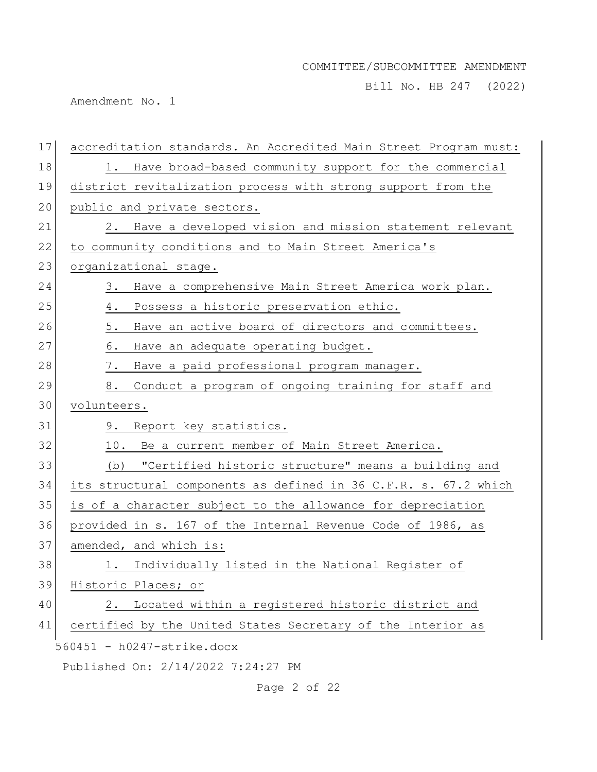Bill No. HB 247 (2022)

Amendment No. 1

| 17 | accreditation standards. An Accredited Main Street Program must: |
|----|------------------------------------------------------------------|
| 18 | 1. Have broad-based community support for the commercial         |
| 19 | district revitalization process with strong support from the     |
| 20 | public and private sectors.                                      |
| 21 | Have a developed vision and mission statement relevant<br>2.     |
| 22 | to community conditions and to Main Street America's             |
| 23 | organizational stage.                                            |
| 24 | Have a comprehensive Main Street America work plan.<br>3.        |
| 25 | Possess a historic preservation ethic.<br>4.                     |
| 26 | Have an active board of directors and committees.<br>5.          |
| 27 | Have an adequate operating budget.<br>6.                         |
| 28 | Have a paid professional program manager.<br>7.                  |
| 29 | Conduct a program of ongoing training for staff and<br>8.        |
| 30 | volunteers.                                                      |
| 31 | Report key statistics.<br>9.                                     |
| 32 | 10. Be a current member of Main Street America.                  |
| 33 | "Certified historic structure" means a building and<br>(b)       |
| 34 | its structural components as defined in 36 C.F.R. s. 67.2 which  |
| 35 | is of a character subject to the allowance for depreciation      |
| 36 | provided in s. 167 of the Internal Revenue Code of 1986, as      |
| 37 | amended, and which is:                                           |
| 38 | 1. Individually listed in the National Register of               |
| 39 | Historic Places; or                                              |
| 40 | Located within a registered historic district and<br>2.          |
| 41 | certified by the United States Secretary of the Interior as      |
|    | 560451 - h0247-strike.docx                                       |
|    | Published On: 2/14/2022 7:24:27 PM                               |

Page 2 of 22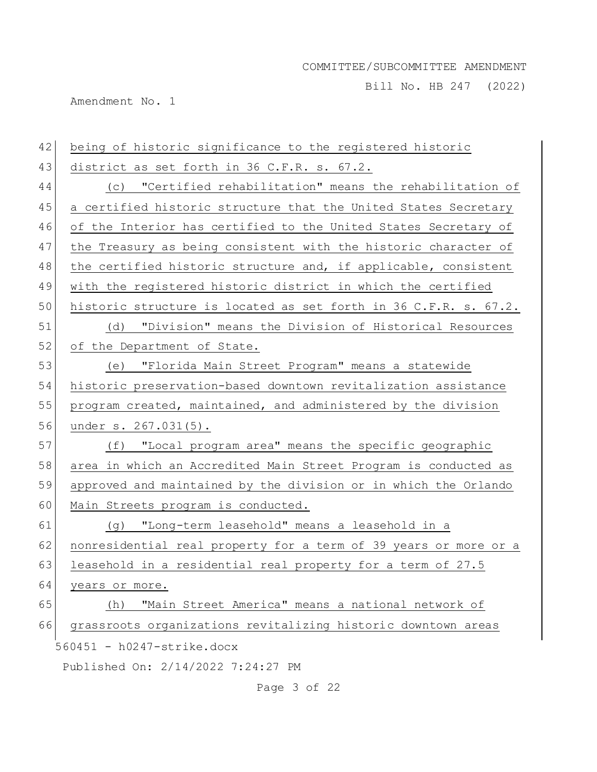Bill No. HB 247 (2022)

Amendment No. 1

| 42 | being of historic significance to the registered historic        |
|----|------------------------------------------------------------------|
| 43 | district as set forth in 36 C.F.R. s. 67.2.                      |
| 44 | "Certified rehabilitation" means the rehabilitation of<br>(C)    |
| 45 | a certified historic structure that the United States Secretary  |
| 46 | of the Interior has certified to the United States Secretary of  |
| 47 | the Treasury as being consistent with the historic character of  |
| 48 | the certified historic structure and, if applicable, consistent  |
| 49 | with the registered historic district in which the certified     |
| 50 | historic structure is located as set forth in 36 C.F.R. s. 67.2. |
| 51 | (d) "Division" means the Division of Historical Resources        |
| 52 | of the Department of State.                                      |
| 53 | (e) "Florida Main Street Program" means a statewide              |
| 54 | historic preservation-based downtown revitalization assistance   |
| 55 | program created, maintained, and administered by the division    |
| 56 | under s. 267.031(5).                                             |
| 57 | (f) "Local program area" means the specific geographic           |
| 58 | area in which an Accredited Main Street Program is conducted as  |
| 59 | approved and maintained by the division or in which the Orlando  |
| 60 | Main Streets program is conducted.                               |
| 61 | (g) "Long-term leasehold" means a leasehold in a                 |
| 62 | nonresidential real property for a term of 39 years or more or a |
| 63 | leasehold in a residential real property for a term of 27.5      |
| 64 | years or more.                                                   |
| 65 | "Main Street America" means a national network of<br>(h)         |
| 66 | grassroots organizations revitalizing historic downtown areas    |
|    | 560451 - h0247-strike.docx                                       |
|    | Published On: 2/14/2022 7:24:27 PM                               |

Page 3 of 22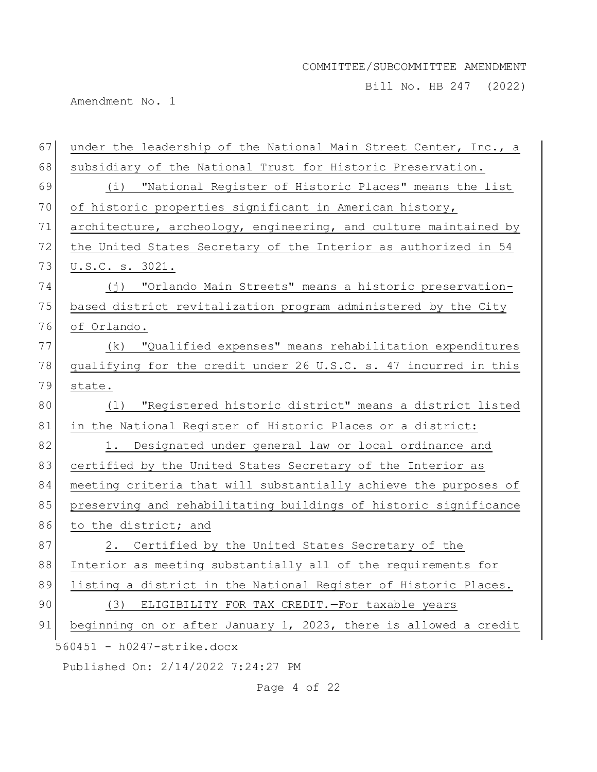Bill No. HB 247 (2022)

Amendment No. 1

| 67 | under the leadership of the National Main Street Center, Inc., a |
|----|------------------------------------------------------------------|
| 68 | subsidiary of the National Trust for Historic Preservation.      |
| 69 | (i) "National Register of Historic Places" means the list        |
| 70 | of historic properties significant in American history,          |
| 71 | architecture, archeology, engineering, and culture maintained by |
| 72 | the United States Secretary of the Interior as authorized in 54  |
| 73 | U.S.C. s. 3021.                                                  |
| 74 | (j) "Orlando Main Streets" means a historic preservation-        |
| 75 | based district revitalization program administered by the City   |
| 76 | of Orlando.                                                      |
| 77 | "Qualified expenses" means rehabilitation expenditures<br>(k)    |
| 78 | qualifying for the credit under 26 U.S.C. s. 47 incurred in this |
| 79 | state.                                                           |
| 80 | (1) "Registered historic district" means a district listed       |
| 81 | in the National Register of Historic Places or a district:       |
| 82 | 1. Designated under general law or local ordinance and           |
| 83 | certified by the United States Secretary of the Interior as      |
| 84 | meeting criteria that will substantially achieve the purposes of |
| 85 | preserving and rehabilitating buildings of historic significance |
| 86 | to the district; and                                             |
| 87 | Certified by the United States Secretary of the<br>2.            |
| 88 | Interior as meeting substantially all of the requirements for    |
| 89 | listing a district in the National Register of Historic Places.  |
| 90 | ELIGIBILITY FOR TAX CREDIT. - For taxable years<br>(3)           |
| 91 | beginning on or after January 1, 2023, there is allowed a credit |
|    | 560451 - h0247-strike.docx                                       |
|    | Published On: 2/14/2022 7:24:27 PM                               |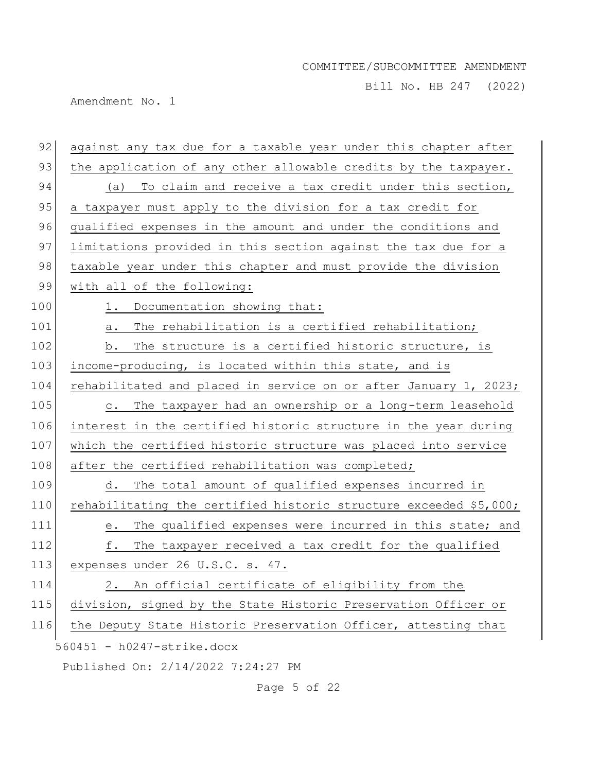Bill No. HB 247 (2022)

Amendment No. 1

| 92  | against any tax due for a taxable year under this chapter after     |
|-----|---------------------------------------------------------------------|
| 93  | the application of any other allowable credits by the taxpayer.     |
| 94  | (a) To claim and receive a tax credit under this section,           |
| 95  | a taxpayer must apply to the division for a tax credit for          |
| 96  | qualified expenses in the amount and under the conditions and       |
| 97  | limitations provided in this section against the tax due for a      |
| 98  | taxable year under this chapter and must provide the division       |
| 99  | with all of the following:                                          |
| 100 | Documentation showing that:<br>1.                                   |
| 101 | The rehabilitation is a certified rehabilitation;<br>а.             |
| 102 | The structure is a certified historic structure, is<br>b.           |
| 103 | income-producing, is located within this state, and is              |
| 104 | rehabilitated and placed in service on or after January 1, 2023;    |
| 105 | The taxpayer had an ownership or a long-term leasehold<br>$\circ$ . |
| 106 | interest in the certified historic structure in the year during     |
| 107 | which the certified historic structure was placed into service      |
| 108 | after the certified rehabilitation was completed;                   |
| 109 | d. The total amount of qualified expenses incurred in               |
| 110 | rehabilitating the certified historic structure exceeded \$5,000;   |
| 111 | The qualified expenses were incurred in this state; and<br>е.       |
| 112 | f.<br>The taxpayer received a tax credit for the qualified          |
| 113 | expenses under 26 U.S.C. s. 47.                                     |
| 114 | An official certificate of eligibility from the<br>2.               |
| 115 | division, signed by the State Historic Preservation Officer or      |
| 116 | the Deputy State Historic Preservation Officer, attesting that      |
|     | 560451 - h0247-strike.docx                                          |
|     | Published On: 2/14/2022 7:24:27<br>PΜ                               |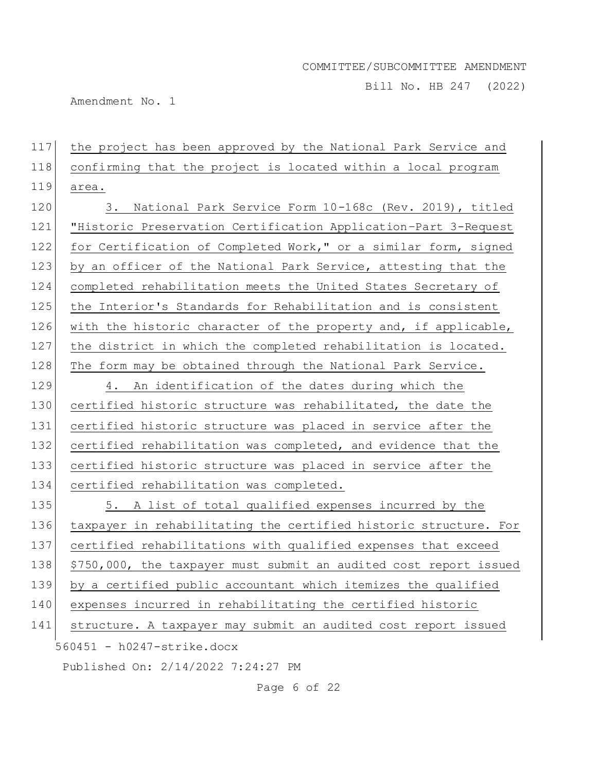Bill No. HB 247 (2022)

Amendment No. 1

117 the project has been approved by the National Park Service and 118 confirming that the project is located within a local program 119 area.

120 3. National Park Service Form 10-168c (Rev. 2019), titled 121 "Historic Preservation Certification Application–Part 3-Request 122 for Certification of Completed Work," or a similar form, signed 123 by an officer of the National Park Service, attesting that the 124 completed rehabilitation meets the United States Secretary of 125 the Interior's Standards for Rehabilitation and is consistent 126 with the historic character of the property and, if applicable, 127 the district in which the completed rehabilitation is located. 128 The form may be obtained through the National Park Service.

129 4. An identification of the dates during which the 130 certified historic structure was rehabilitated, the date the 131 certified historic structure was placed in service after the 132 certified rehabilitation was completed, and evidence that the 133 certified historic structure was placed in service after the 134 certified rehabilitation was completed.

560451 - h0247-strike.docx 135 5. A list of total qualified expenses incurred by the taxpayer in rehabilitating the certified historic structure. For certified rehabilitations with qualified expenses that exceed \$750,000, the taxpayer must submit an audited cost report issued by a certified public accountant which itemizes the qualified expenses incurred in rehabilitating the certified historic structure. A taxpayer may submit an audited cost report issued

Published On: 2/14/2022 7:24:27 PM

Page 6 of 22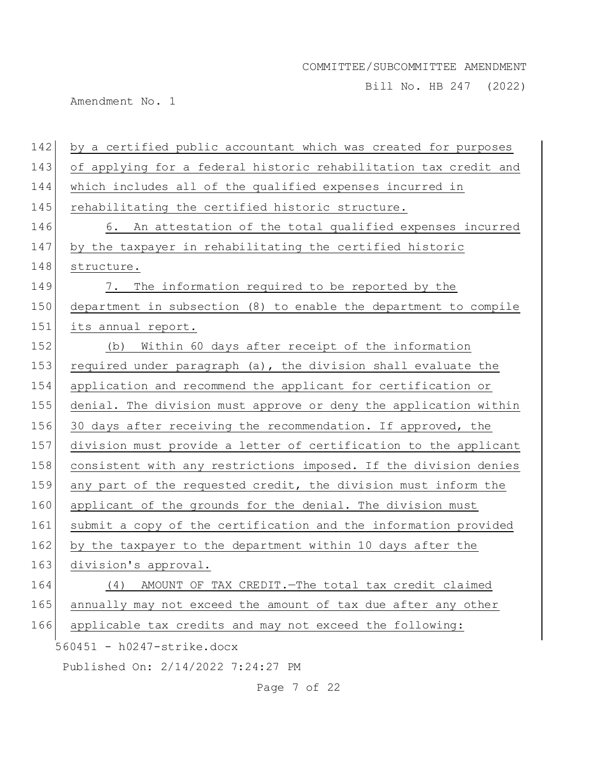Bill No. HB 247 (2022)

Amendment No. 1

| 142 | by a certified public accountant which was created for purposes  |
|-----|------------------------------------------------------------------|
| 143 | of applying for a federal historic rehabilitation tax credit and |
| 144 | which includes all of the qualified expenses incurred in         |
| 145 | rehabilitating the certified historic structure.                 |
| 146 | 6. An attestation of the total qualified expenses incurred       |
| 147 | by the taxpayer in rehabilitating the certified historic         |
| 148 | structure.                                                       |
| 149 | The information required to be reported by the<br>7.             |
| 150 | department in subsection (8) to enable the department to compile |
| 151 | its annual report.                                               |
| 152 | Within 60 days after receipt of the information<br>(b)           |
| 153 | required under paragraph (a), the division shall evaluate the    |
| 154 | application and recommend the applicant for certification or     |
| 155 | denial. The division must approve or deny the application within |
| 156 | 30 days after receiving the recommendation. If approved, the     |
| 157 | division must provide a letter of certification to the applicant |
| 158 | consistent with any restrictions imposed. If the division denies |
| 159 | any part of the requested credit, the division must inform the   |
| 160 | applicant of the grounds for the denial. The division must       |
| 161 | submit a copy of the certification and the information provided  |
| 162 | by the taxpayer to the department within 10 days after the       |
| 163 | division's approval.                                             |
| 164 | AMOUNT OF TAX CREDIT. - The total tax credit claimed<br>(4)      |
| 165 | annually may not exceed the amount of tax due after any other    |
| 166 | applicable tax credits and may not exceed the following:         |
|     | 560451 - h0247-strike.docx                                       |
|     | Published On: 2/14/2022 7:24:27 PM                               |

Page 7 of 22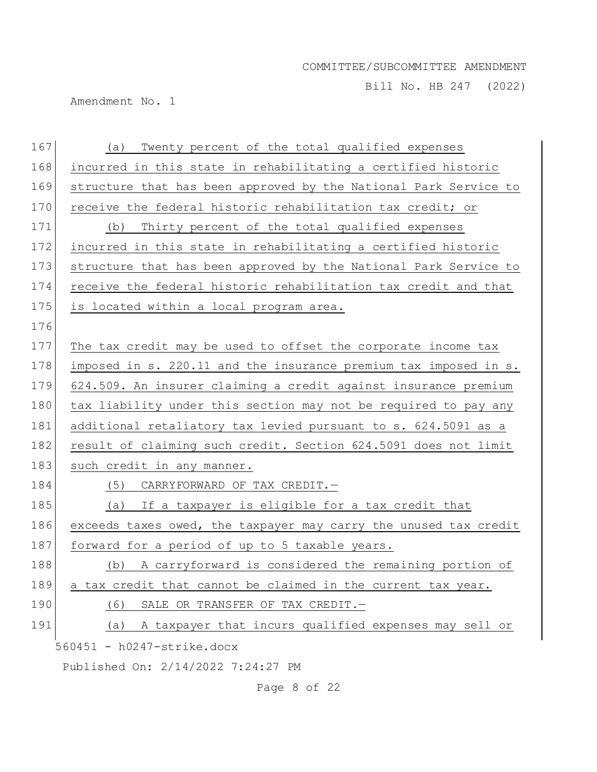Bill No. HB 247 (2022)

Amendment No. 1

| 167 | Twenty percent of the total qualified expenses<br>(a)            |
|-----|------------------------------------------------------------------|
| 168 | incurred in this state in rehabilitating a certified historic    |
| 169 | structure that has been approved by the National Park Service to |
| 170 | receive the federal historic rehabilitation tax credit; or       |
| 171 | Thirty percent of the total qualified expenses<br>(b)            |
| 172 | incurred in this state in rehabilitating a certified historic    |
| 173 | structure that has been approved by the National Park Service to |
| 174 | receive the federal historic rehabilitation tax credit and that  |
| 175 | is located within a local program area.                          |
| 176 |                                                                  |
| 177 | The tax credit may be used to offset the corporate income tax    |
| 178 | imposed in s. 220.11 and the insurance premium tax imposed in s. |
| 179 | 624.509. An insurer claiming a credit against insurance premium  |
| 180 | tax liability under this section may not be required to pay any  |
| 181 | additional retaliatory tax levied pursuant to s. 624.5091 as a   |
| 182 | result of claiming such credit. Section 624.5091 does not limit  |
| 183 | such credit in any manner.                                       |
| 184 | CARRYFORWARD OF TAX CREDIT.-<br>(5)                              |
| 185 | If a taxpayer is eligible for a tax credit that<br>(a)           |
| 186 | exceeds taxes owed, the taxpayer may carry the unused tax credit |
| 187 | forward for a period of up to 5 taxable years.                   |
| 188 | A carryforward is considered the remaining portion of<br>(b)     |
| 189 | a tax credit that cannot be claimed in the current tax year.     |
| 190 | SALE OR TRANSFER OF TAX CREDIT.-<br>(6)                          |
| 191 | A taxpayer that incurs qualified expenses may sell or<br>(a)     |
|     | 560451 - h0247-strike.docx                                       |
|     | Published On: 2/14/2022 7:24:27 PM                               |

Page 8 of 22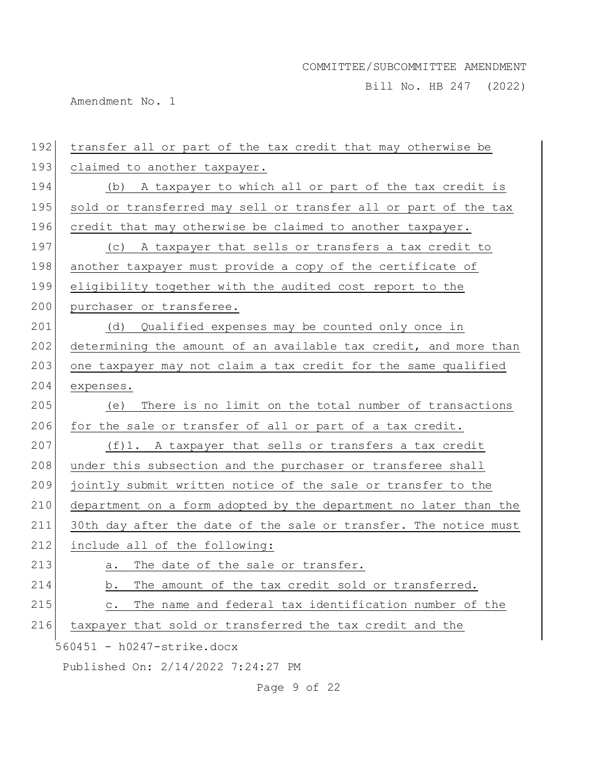Bill No. HB 247 (2022)

Amendment No. 1

| 192 | transfer all or part of the tax credit that may otherwise be            |
|-----|-------------------------------------------------------------------------|
| 193 | claimed to another taxpayer.                                            |
| 194 | (b) A taxpayer to which all or part of the tax credit is                |
| 195 | sold or transferred may sell or transfer all or part of the tax         |
| 196 | credit that may otherwise be claimed to another taxpayer.               |
| 197 | A taxpayer that sells or transfers a tax credit to<br>(C)               |
| 198 | another taxpayer must provide a copy of the certificate of              |
| 199 | eligibility together with the audited cost report to the                |
| 200 | purchaser or transferee.                                                |
| 201 | Qualified expenses may be counted only once in<br>(d)                   |
| 202 | determining the amount of an available tax credit, and more than        |
| 203 | one taxpayer may not claim a tax credit for the same qualified          |
| 204 | expenses.                                                               |
| 205 | There is no limit on the total number of transactions<br>(e)            |
| 206 | for the sale or transfer of all or part of a tax credit.                |
| 207 | (f)1. A taxpayer that sells or transfers a tax credit                   |
| 208 | under this subsection and the purchaser or transferee shall             |
| 209 | jointly submit written notice of the sale or transfer to the            |
| 210 | department on a form adopted by the department no later than the        |
| 211 | 30th day after the date of the sale or transfer. The notice must        |
| 212 | include all of the following:                                           |
| 213 | The date of the sale or transfer.<br>а.                                 |
| 214 | The amount of the tax credit sold or transferred.<br>b.                 |
| 215 | The name and federal tax identification number of the<br>$\mathtt{C}$ . |
| 216 | taxpayer that sold or transferred the tax credit and the                |
|     | 560451 - h0247-strike.docx                                              |
|     | Published On: 2/14/2022 7:24:27 PM                                      |

Page 9 of 22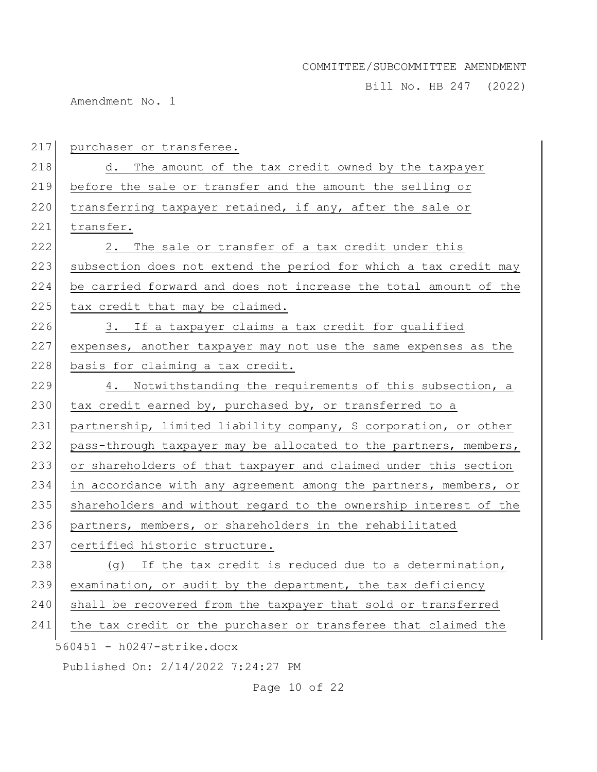Bill No. HB 247 (2022)

Amendment No. 1

| 217 | purchaser or transferee.                                         |
|-----|------------------------------------------------------------------|
| 218 | d. The amount of the tax credit owned by the taxpayer            |
| 219 | before the sale or transfer and the amount the selling or        |
| 220 | transferring taxpayer retained, if any, after the sale or        |
| 221 | transfer.                                                        |
| 222 | The sale or transfer of a tax credit under this<br>2.            |
| 223 | subsection does not extend the period for which a tax credit may |
| 224 | be carried forward and does not increase the total amount of the |
| 225 | tax credit that may be claimed.                                  |
| 226 | 3. If a taxpayer claims a tax credit for qualified               |
| 227 | expenses, another taxpayer may not use the same expenses as the  |
| 228 | basis for claiming a tax credit.                                 |
| 229 | 4. Notwithstanding the requirements of this subsection, a        |
| 230 | tax credit earned by, purchased by, or transferred to a          |
| 231 | partnership, limited liability company, S corporation, or other  |
| 232 | pass-through taxpayer may be allocated to the partners, members, |
| 233 | or shareholders of that taxpayer and claimed under this section  |
| 234 | in accordance with any agreement among the partners, members, or |
| 235 | shareholders and without regard to the ownership interest of the |
| 236 | partners, members, or shareholders in the rehabilitated          |
| 237 | certified historic structure.                                    |
| 238 | (g) If the tax credit is reduced due to a determination,         |
| 239 | examination, or audit by the department, the tax deficiency      |
| 240 | shall be recovered from the taxpayer that sold or transferred    |
| 241 | the tax credit or the purchaser or transferee that claimed the   |
|     | $560451 - h0247 - strike.docx$                                   |
|     | Published On: 2/14/2022 7:24:27 PM                               |

Page 10 of 22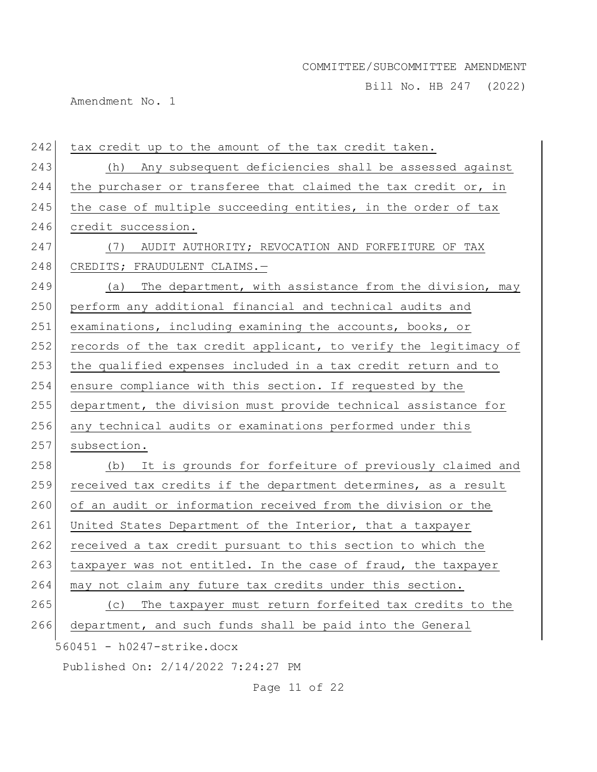Bill No. HB 247 (2022)

Amendment No. 1

| 242 | tax credit up to the amount of the tax credit taken.             |
|-----|------------------------------------------------------------------|
| 243 | (h) Any subsequent deficiencies shall be assessed against        |
| 244 | the purchaser or transferee that claimed the tax credit or, in   |
| 245 | the case of multiple succeeding entities, in the order of tax    |
| 246 | credit succession.                                               |
| 247 | AUDIT AUTHORITY; REVOCATION AND FORFEITURE OF TAX<br>(7)         |
| 248 | CREDITS; FRAUDULENT CLAIMS.-                                     |
| 249 | (a) The department, with assistance from the division, may       |
| 250 | perform any additional financial and technical audits and        |
| 251 | examinations, including examining the accounts, books, or        |
| 252 | records of the tax credit applicant, to verify the legitimacy of |
| 253 | the qualified expenses included in a tax credit return and to    |
| 254 | ensure compliance with this section. If requested by the         |
| 255 | department, the division must provide technical assistance for   |
| 256 | any technical audits or examinations performed under this        |
| 257 | subsection.                                                      |
| 258 | It is grounds for forfeiture of previously claimed and<br>(b)    |
| 259 | received tax credits if the department determines, as a result   |
| 260 | of an audit or information received from the division or the     |
| 261 | United States Department of the Interior, that a taxpayer        |
| 262 | received a tax credit pursuant to this section to which the      |
| 263 | taxpayer was not entitled. In the case of fraud, the taxpayer    |
| 264 | may not claim any future tax credits under this section.         |
| 265 | The taxpayer must return forfeited tax credits to the<br>(C)     |
| 266 | department, and such funds shall be paid into the General        |
|     | 560451 - h0247-strike.docx                                       |
|     | Published On: 2/14/2022 7:24:27 PM                               |

Page 11 of 22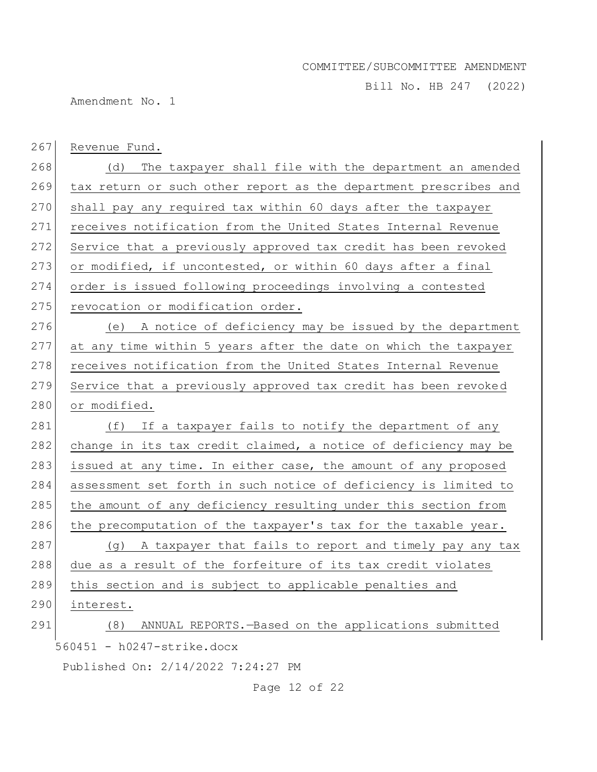Bill No. HB 247 (2022)

Amendment No. 1

| 267 | Revenue Fund.                                                    |
|-----|------------------------------------------------------------------|
| 268 | The taxpayer shall file with the department an amended<br>(d)    |
| 269 | tax return or such other report as the department prescribes and |
| 270 | shall pay any required tax within 60 days after the taxpayer     |
| 271 | receives notification from the United States Internal Revenue    |
| 272 | Service that a previously approved tax credit has been revoked   |
| 273 | or modified, if uncontested, or within 60 days after a final     |
| 274 | order is issued following proceedings involving a contested      |
| 275 | revocation or modification order.                                |
| 276 | (e) A notice of deficiency may be issued by the department       |
| 277 | at any time within 5 years after the date on which the taxpayer  |
| 278 | receives notification from the United States Internal Revenue    |
| 279 | Service that a previously approved tax credit has been revoked   |
| 280 | or modified.                                                     |
| 281 | If a taxpayer fails to notify the department of any<br>(f)       |
| 282 | change in its tax credit claimed, a notice of deficiency may be  |
| 283 | issued at any time. In either case, the amount of any proposed   |
| 284 | assessment set forth in such notice of deficiency is limited to  |
| 285 | the amount of any deficiency resulting under this section from   |
| 286 | the precomputation of the taxpayer's tax for the taxable year.   |
| 287 | A taxpayer that fails to report and timely pay any tax<br>(q)    |
| 288 | due as a result of the forfeiture of its tax credit violates     |
| 289 | this section and is subject to applicable penalties and          |
| 290 | interest.                                                        |
| 291 | ANNUAL REPORTS.-Based on the applications submitted<br>(8)       |
|     | 560451 - h0247-strike.docx                                       |

Published On: 2/14/2022 7:24:27 PM

Page 12 of 22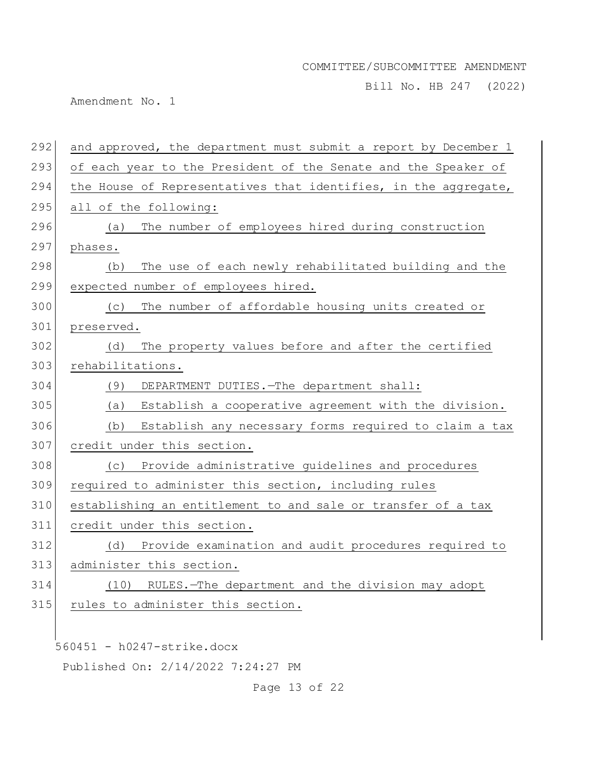Bill No. HB 247 (2022)

Amendment No. 1

| 292 | and approved, the department must submit a report by December 1 |
|-----|-----------------------------------------------------------------|
| 293 | of each year to the President of the Senate and the Speaker of  |
| 294 | the House of Representatives that identifies, in the aggregate, |
| 295 | all of the following:                                           |
| 296 | The number of employees hired during construction<br>(a)        |
| 297 | phases.                                                         |
| 298 | The use of each newly rehabilitated building and the<br>(b)     |
| 299 | expected number of employees hired.                             |
| 300 | The number of affordable housing units created or<br>(C)        |
| 301 | preserved.                                                      |
| 302 | The property values before and after the certified<br>(d)       |
| 303 | rehabilitations.                                                |
| 304 | (9)<br>DEPARTMENT DUTIES. - The department shall:               |
| 305 | Establish a cooperative agreement with the division.<br>(a)     |
| 306 | (b)<br>Establish any necessary forms required to claim a tax    |
| 307 | credit under this section.                                      |
| 308 | Provide administrative guidelines and procedures<br>(C)         |
| 309 | required to administer this section, including rules            |
| 310 | establishing an entitlement to and sale or transfer of a tax    |
| 311 | credit under this section.                                      |
| 312 | Provide examination and audit procedures required to<br>(d)     |
| 313 | administer this section.                                        |
| 314 | RULES.-The department and the division may adopt<br>(10)        |
| 315 | rules to administer this section.                               |
|     |                                                                 |
|     | 560451 - h0247-strike.docx                                      |
|     |                                                                 |

Published On: 2/14/2022 7:24:27 PM

Page 13 of 22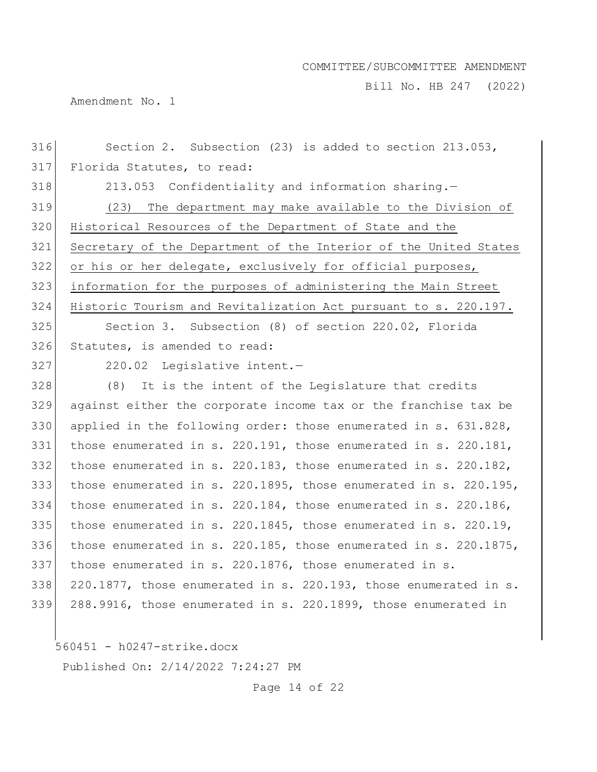Bill No. HB 247 (2022)

Amendment No. 1

| 316 | Section 2. Subsection (23) is added to section 213.053,          |
|-----|------------------------------------------------------------------|
| 317 | Florida Statutes, to read:                                       |
| 318 | 213.053 Confidentiality and information sharing.-                |
| 319 | (23) The department may make available to the Division of        |
| 320 | Historical Resources of the Department of State and the          |
| 321 | Secretary of the Department of the Interior of the United States |
| 322 | or his or her delegate, exclusively for official purposes,       |
| 323 | information for the purposes of administering the Main Street    |
| 324 | Historic Tourism and Revitalization Act pursuant to s. 220.197.  |
| 325 | Section 3. Subsection (8) of section 220.02, Florida             |
| 326 | Statutes, is amended to read:                                    |
| 327 | 220.02 Legislative intent.-                                      |
| 328 | (8) It is the intent of the Legislature that credits             |
| 329 | against either the corporate income tax or the franchise tax be  |
| 330 | applied in the following order: those enumerated in s. 631.828,  |
| 331 | those enumerated in s. 220.191, those enumerated in s. 220.181,  |
| 332 | those enumerated in s. 220.183, those enumerated in s. 220.182,  |
| 333 | those enumerated in s. 220.1895, those enumerated in s. 220.195, |
| 334 | those enumerated in s. 220.184, those enumerated in s. 220.186,  |
| 335 | those enumerated in s. 220.1845, those enumerated in s. 220.19,  |
| 336 | those enumerated in s. 220.185, those enumerated in s. 220.1875, |
| 337 | those enumerated in s. 220.1876, those enumerated in s.          |
| 338 | 220.1877, those enumerated in s. 220.193, those enumerated in s. |
| 339 | 288.9916, those enumerated in s. 220.1899, those enumerated in   |
|     |                                                                  |

560451 - h0247-strike.docx

Published On: 2/14/2022 7:24:27 PM

Page 14 of 22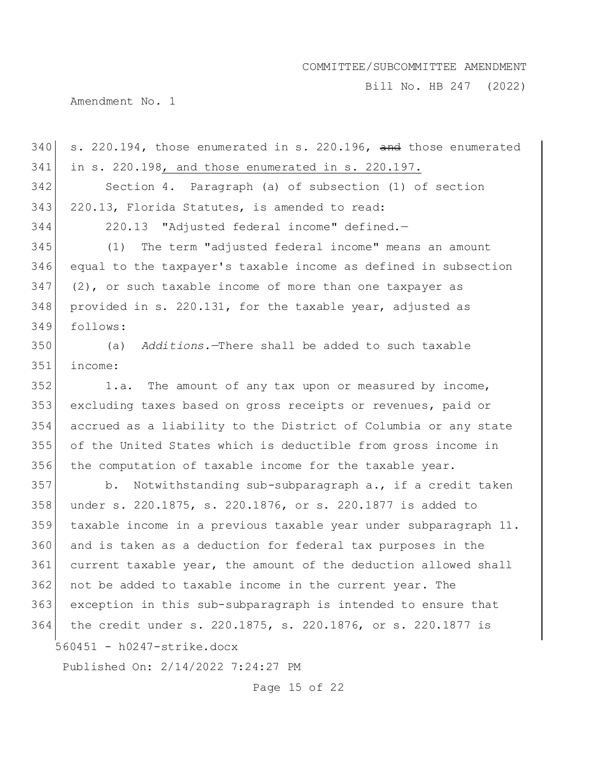Bill No. HB 247 (2022)

Amendment No. 1

560451 - h0247-strike.docx Published On: 2/14/2022 7:24:27 PM s. 220.194, those enumerated in s. 220.196, and those enumerated in s. 220.198, and those enumerated in s. 220.197. Section 4. Paragraph (a) of subsection (1) of section 343 220.13, Florida Statutes, is amended to read: 220.13 "Adjusted federal income" defined.— (1) The term "adjusted federal income" means an amount equal to the taxpayer's taxable income as defined in subsection (2), or such taxable income of more than one taxpayer as provided in s. 220.131, for the taxable year, adjusted as follows: (a) *Additions.*—There shall be added to such taxable income: 1.a. The amount of any tax upon or measured by income, excluding taxes based on gross receipts or revenues, paid or accrued as a liability to the District of Columbia or any state of the United States which is deductible from gross income in 356 the computation of taxable income for the taxable year. 357 b. Notwithstanding sub-subparagraph a., if a credit taken under s. 220.1875, s. 220.1876, or s. 220.1877 is added to taxable income in a previous taxable year under subparagraph 11. and is taken as a deduction for federal tax purposes in the current taxable year, the amount of the deduction allowed shall not be added to taxable income in the current year. The exception in this sub-subparagraph is intended to ensure that the credit under s. 220.1875, s. 220.1876, or s. 220.1877 is

Page 15 of 22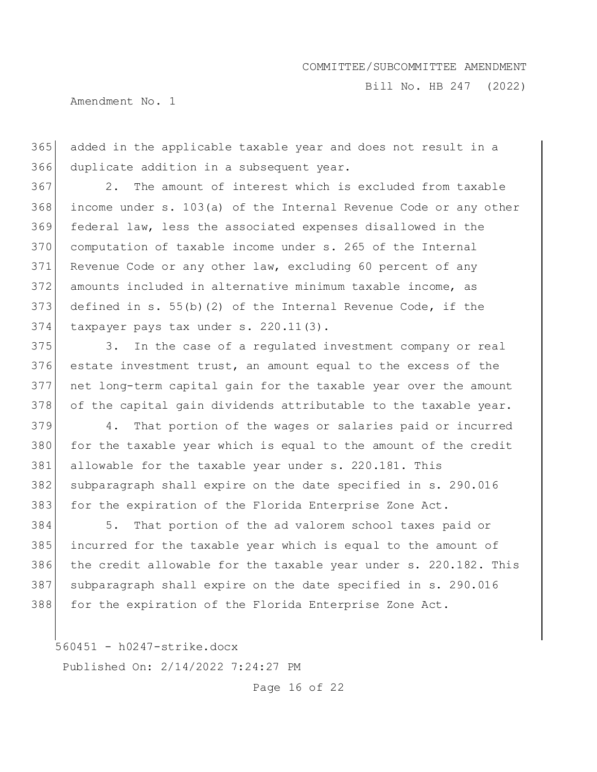Bill No. HB 247 (2022)

Amendment No. 1

 added in the applicable taxable year and does not result in a duplicate addition in a subsequent year.

 2. The amount of interest which is excluded from taxable income under s. 103(a) of the Internal Revenue Code or any other federal law, less the associated expenses disallowed in the computation of taxable income under s. 265 of the Internal Revenue Code or any other law, excluding 60 percent of any amounts included in alternative minimum taxable income, as defined in s. 55(b)(2) of the Internal Revenue Code, if the taxpayer pays tax under s. 220.11(3).

 3. In the case of a regulated investment company or real estate investment trust, an amount equal to the excess of the net long-term capital gain for the taxable year over the amount 378 of the capital gain dividends attributable to the taxable year.

 4. That portion of the wages or salaries paid or incurred 380 for the taxable year which is equal to the amount of the credit allowable for the taxable year under s. 220.181. This subparagraph shall expire on the date specified in s. 290.016 for the expiration of the Florida Enterprise Zone Act.

 5. That portion of the ad valorem school taxes paid or incurred for the taxable year which is equal to the amount of the credit allowable for the taxable year under s. 220.182. This 387 subparagraph shall expire on the date specified in s. 290.016 for the expiration of the Florida Enterprise Zone Act.

560451 - h0247-strike.docx

Published On: 2/14/2022 7:24:27 PM

Page 16 of 22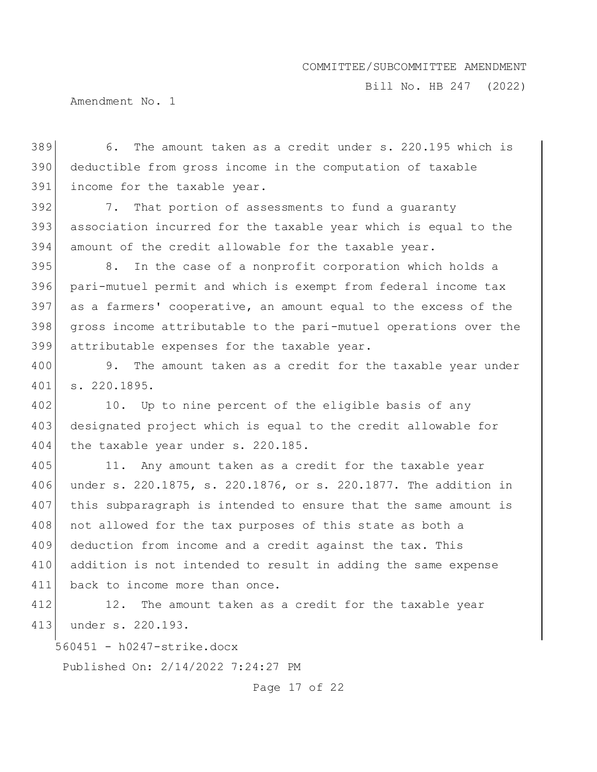Bill No. HB 247 (2022)

Amendment No. 1

389 6. The amount taken as a credit under s. 220.195 which is 390 deductible from gross income in the computation of taxable 391 income for the taxable year.

392 7. That portion of assessments to fund a guaranty 393 association incurred for the taxable year which is equal to the 394 amount of the credit allowable for the taxable year.

395 8. In the case of a nonprofit corporation which holds a pari-mutuel permit and which is exempt from federal income tax as a farmers' cooperative, an amount equal to the excess of the gross income attributable to the pari-mutuel operations over the attributable expenses for the taxable year.

400 9. The amount taken as a credit for the taxable year under 401 s. 220.1895.

402 10. Up to nine percent of the eligible basis of any 403 designated project which is equal to the credit allowable for 404 the taxable year under s. 220.185.

405 11. Any amount taken as a credit for the taxable year 406 under s. 220.1875, s. 220.1876, or s. 220.1877. The addition in 407 this subparagraph is intended to ensure that the same amount is 408 not allowed for the tax purposes of this state as both a 409 deduction from income and a credit against the tax. This 410 addition is not intended to result in adding the same expense 411 back to income more than once.

412 12. The amount taken as a credit for the taxable year 413 under s. 220.193.

560451 - h0247-strike.docx

Published On: 2/14/2022 7:24:27 PM

Page 17 of 22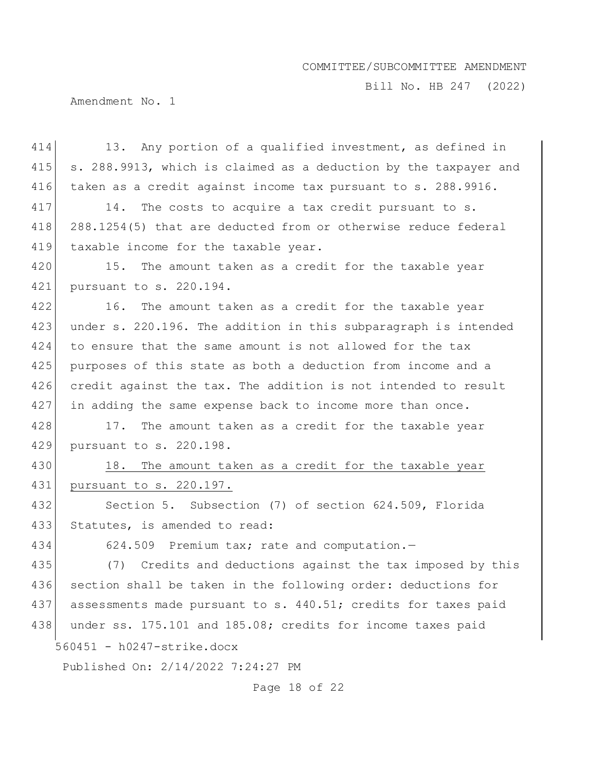Bill No. HB 247 (2022)

Amendment No. 1

| 414 | 13. Any portion of a qualified investment, as defined in         |
|-----|------------------------------------------------------------------|
| 415 | s. 288.9913, which is claimed as a deduction by the taxpayer and |
| 416 | taken as a credit against income tax pursuant to s. 288.9916.    |
| 417 | The costs to acquire a tax credit pursuant to s.<br>14.          |
| 418 | 288.1254(5) that are deducted from or otherwise reduce federal   |
| 419 | taxable income for the taxable year.                             |
| 420 | The amount taken as a credit for the taxable year<br>15.         |
| 421 | pursuant to s. 220.194.                                          |
| 422 | The amount taken as a credit for the taxable year<br>16.         |
| 423 | under s. 220.196. The addition in this subparagraph is intended  |
| 424 | to ensure that the same amount is not allowed for the tax        |
| 425 | purposes of this state as both a deduction from income and a     |
| 426 | credit against the tax. The addition is not intended to result   |
| 427 | in adding the same expense back to income more than once.        |
| 428 | 17. The amount taken as a credit for the taxable year            |
| 429 | pursuant to s. 220.198.                                          |
| 430 | The amount taken as a credit for the taxable year<br>18.         |
| 431 | pursuant to s. 220.197.                                          |
| 432 | Section 5. Subsection (7) of section 624.509, Florida            |
| 433 | Statutes, is amended to read:                                    |
| 434 | 624.509 Premium tax; rate and computation.-                      |
| 435 | (7) Credits and deductions against the tax imposed by this       |
| 436 | section shall be taken in the following order: deductions for    |
| 437 | assessments made pursuant to s. 440.51; credits for taxes paid   |
| 438 | under ss. 175.101 and 185.08; credits for income taxes paid      |
|     | 560451 - h0247-strike.docx                                       |
|     | Published On: 2/14/2022 7:24:27 PM                               |

Page 18 of 22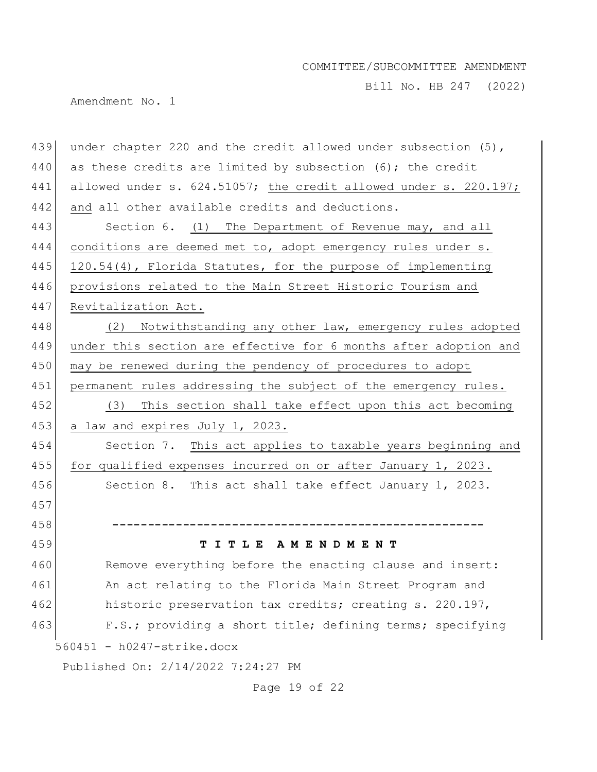Bill No. HB 247 (2022)

Amendment No. 1

| 439                        | under chapter 220 and the credit allowed under subsection $(5)$ , |  |
|----------------------------|-------------------------------------------------------------------|--|
| 440                        | as these credits are limited by subsection $(6)$ ; the credit     |  |
| 441                        | allowed under s. 624.51057; the credit allowed under s. 220.197;  |  |
| 442                        | and all other available credits and deductions.                   |  |
| 443                        | Section 6. (1) The Department of Revenue may, and all             |  |
| 444                        | conditions are deemed met to, adopt emergency rules under s.      |  |
| 445                        | 120.54(4), Florida Statutes, for the purpose of implementing      |  |
| 446                        | provisions related to the Main Street Historic Tourism and        |  |
| 447                        | Revitalization Act.                                               |  |
| 448                        | Notwithstanding any other law, emergency rules adopted<br>(2)     |  |
| 449                        | under this section are effective for 6 months after adoption and  |  |
| 450                        | may be renewed during the pendency of procedures to adopt         |  |
| 451                        | permanent rules addressing the subject of the emergency rules.    |  |
| 452                        | This section shall take effect upon this act becoming<br>(3)      |  |
| 453                        | a law and expires July 1, 2023.                                   |  |
| 454                        | Section 7. This act applies to taxable years beginning and        |  |
| 455                        | for qualified expenses incurred on or after January 1, 2023.      |  |
| 456                        | Section 8. This act shall take effect January 1, 2023.            |  |
| 457                        |                                                                   |  |
| 458                        |                                                                   |  |
| 459                        | TITLE AMENDMENT                                                   |  |
| 460                        | Remove everything before the enacting clause and insert:          |  |
| 461                        | An act relating to the Florida Main Street Program and            |  |
| 462                        | historic preservation tax credits; creating s. 220.197,           |  |
| 463                        | F.S.; providing a short title; defining terms; specifying         |  |
| 560451 - h0247-strike.docx |                                                                   |  |
|                            | Published On: 2/14/2022 7:24:27 PM                                |  |

Page 19 of 22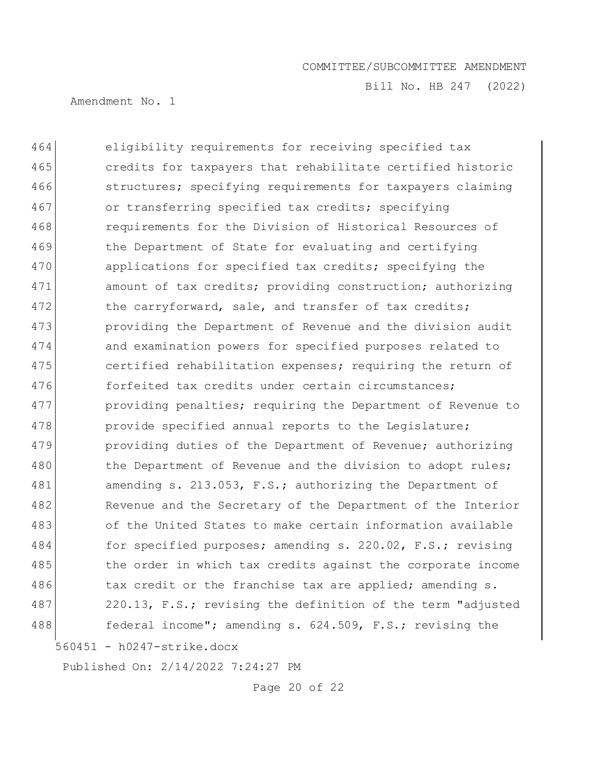Bill No. HB 247 (2022)

Amendment No. 1

560451 - h0247-strike.docx 464 eligibility requirements for receiving specified tax 465 credits for taxpayers that rehabilitate certified historic 466 structures; specifying requirements for taxpayers claiming 467 or transferring specified tax credits; specifying 468 requirements for the Division of Historical Resources of 469 black bepartment of State for evaluating and certifying 470 applications for specified tax credits; specifying the 471 amount of tax credits; providing construction; authorizing 472 the carryforward, sale, and transfer of tax credits; 473 **providing the Department of Revenue and the division audit** 474 and examination powers for specified purposes related to 475 certified rehabilitation expenses; requiring the return of 476 forfeited tax credits under certain circumstances; 477 providing penalties; requiring the Department of Revenue to 478 provide specified annual reports to the Legislature; 479 **providing duties of the Department of Revenue; authorizing** 480 the Department of Revenue and the division to adopt rules; 481 amending s. 213.053, F.S.; authorizing the Department of 482 Revenue and the Secretary of the Department of the Interior 483 of the United States to make certain information available 484 for specified purposes; amending s. 220.02, F.S.; revising 485 the order in which tax credits against the corporate income 486 tax credit or the franchise tax are applied; amending s. 487 220.13, F.S.; revising the definition of the term "adjusted 488 **federal income";** amending s. 624.509, F.S.; revising the

Published On: 2/14/2022 7:24:27 PM

Page 20 of 22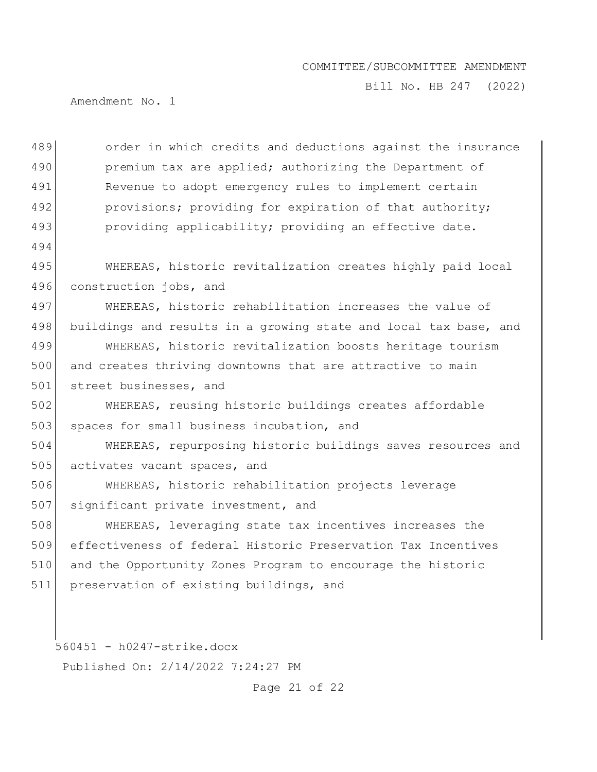Bill No. HB 247 (2022)

Amendment No. 1

489 order in which credits and deductions against the insurance 490 premium tax are applied; authorizing the Department of 491 Revenue to adopt emergency rules to implement certain 492 provisions; providing for expiration of that authority; 493 providing applicability; providing an effective date. 494 495 WHEREAS, historic revitalization creates highly paid local 496 construction jobs, and 497 WHEREAS, historic rehabilitation increases the value of 498 buildings and results in a growing state and local tax base, and 499 WHEREAS, historic revitalization boosts heritage tourism 500 and creates thriving downtowns that are attractive to main 501 street businesses, and 502 WHEREAS, reusing historic buildings creates affordable 503 spaces for small business incubation, and 504 WHEREAS, repurposing historic buildings saves resources and 505 activates vacant spaces, and 506 WHEREAS, historic rehabilitation projects leverage 507 significant private investment, and 508 WHEREAS, leveraging state tax incentives increases the 509 effectiveness of federal Historic Preservation Tax Incentives 510 and the Opportunity Zones Program to encourage the historic 511 preservation of existing buildings, and

560451 - h0247-strike.docx

Published On: 2/14/2022 7:24:27 PM

Page 21 of 22